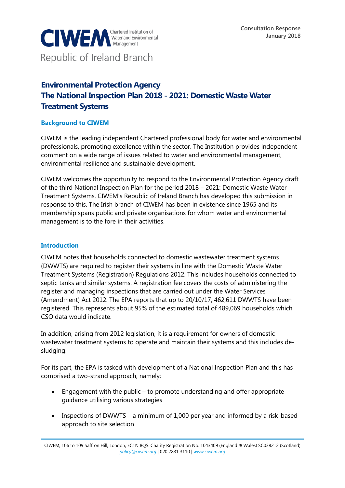

# **Environmental Protection Agency The National Inspection Plan 2018 - 2021: Domestic Waste Water Treatment Systems**

## **Background to CIWEM**

CIWEM is the leading independent Chartered professional body for water and environmental professionals, promoting excellence within the sector. The Institution provides independent comment on a wide range of issues related to water and environmental management, environmental resilience and sustainable development.

CIWEM welcomes the opportunity to respond to the Environmental Protection Agency draft of the third National Inspection Plan for the period 2018 – 2021: Domestic Waste Water Treatment Systems. CIWEM's Republic of Ireland Branch has developed this submission in response to this. The Irish branch of CIWEM has been in existence since 1965 and its membership spans public and private organisations for whom water and environmental management is to the fore in their activities.

## **Introduction**

CIWEM notes that households connected to domestic wastewater treatment systems (DWWTS) are required to register their systems in line with the Domestic Waste Water Treatment Systems (Registration) Regulations 2012. This includes households connected to septic tanks and similar systems. A registration fee covers the costs of administering the register and managing inspections that are carried out under the Water Services (Amendment) Act 2012. The EPA reports that up to 20/10/17, 462,611 DWWTS have been registered. This represents about 95% of the estimated total of 489,069 households which CSO data would indicate.

In addition, arising from 2012 legislation, it is a requirement for owners of domestic wastewater treatment systems to operate and maintain their systems and this includes desludging.

For its part, the EPA is tasked with development of a National Inspection Plan and this has comprised a two-strand approach, namely:

- Engagement with the public to promote understanding and offer appropriate guidance utilising various strategies
- Inspections of DWWTS a minimum of 1,000 per year and informed by a risk-based approach to site selection

CIWEM, 106 to 109 Saffron Hill, London, EC1N 8QS. Charity Registration No. 1043409 (England & Wales) SC038212 (Scotland) *[policy@ciwem.org](mailto:policy@ciwem.org)* | 020 7831 3110 | *[www.ciwem.org](http://www.ciwem.org/)*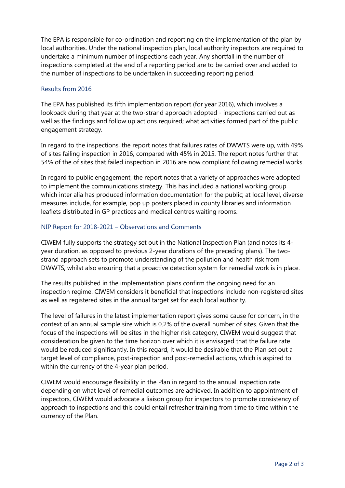The EPA is responsible for co-ordination and reporting on the implementation of the plan by local authorities. Under the national inspection plan, local authority inspectors are required to undertake a minimum number of inspections each year. Any shortfall in the number of inspections completed at the end of a reporting period are to be carried over and added to the number of inspections to be undertaken in succeeding reporting period.

# Results from 2016

The EPA has published its fifth implementation report (for year 2016), which involves a lookback during that year at the two-strand approach adopted - inspections carried out as well as the findings and follow up actions required; what activities formed part of the public engagement strategy.

In regard to the inspections, the report notes that failures rates of DWWTS were up, with 49% of sites failing inspection in 2016, compared with 45% in 2015. The report notes further that 54% of the of sites that failed inspection in 2016 are now compliant following remedial works.

In regard to public engagement, the report notes that a variety of approaches were adopted to implement the communications strategy. This has included a national working group which inter alia has produced information documentation for the public; at local level, diverse measures include, for example, pop up posters placed in county libraries and information leaflets distributed in GP practices and medical centres waiting rooms.

### NIP Report for 2018-2021 – Observations and Comments

CIWEM fully supports the strategy set out in the National Inspection Plan (and notes its 4 year duration, as opposed to previous 2-year durations of the preceding plans). The twostrand approach sets to promote understanding of the pollution and health risk from DWWTS, whilst also ensuring that a proactive detection system for remedial work is in place.

The results published in the implementation plans confirm the ongoing need for an inspection regime. CIWEM considers it beneficial that inspections include non-registered sites as well as registered sites in the annual target set for each local authority.

The level of failures in the latest implementation report gives some cause for concern, in the context of an annual sample size which is 0.2% of the overall number of sites. Given that the focus of the inspections will be sites in the higher risk category, CIWEM would suggest that consideration be given to the time horizon over which it is envisaged that the failure rate would be reduced significantly. In this regard, it would be desirable that the Plan set out a target level of compliance, post-inspection and post-remedial actions, which is aspired to within the currency of the 4-year plan period.

CIWEM would encourage flexibility in the Plan in regard to the annual inspection rate depending on what level of remedial outcomes are achieved. In addition to appointment of inspectors, CIWEM would advocate a liaison group for inspectors to promote consistency of approach to inspections and this could entail refresher training from time to time within the currency of the Plan.